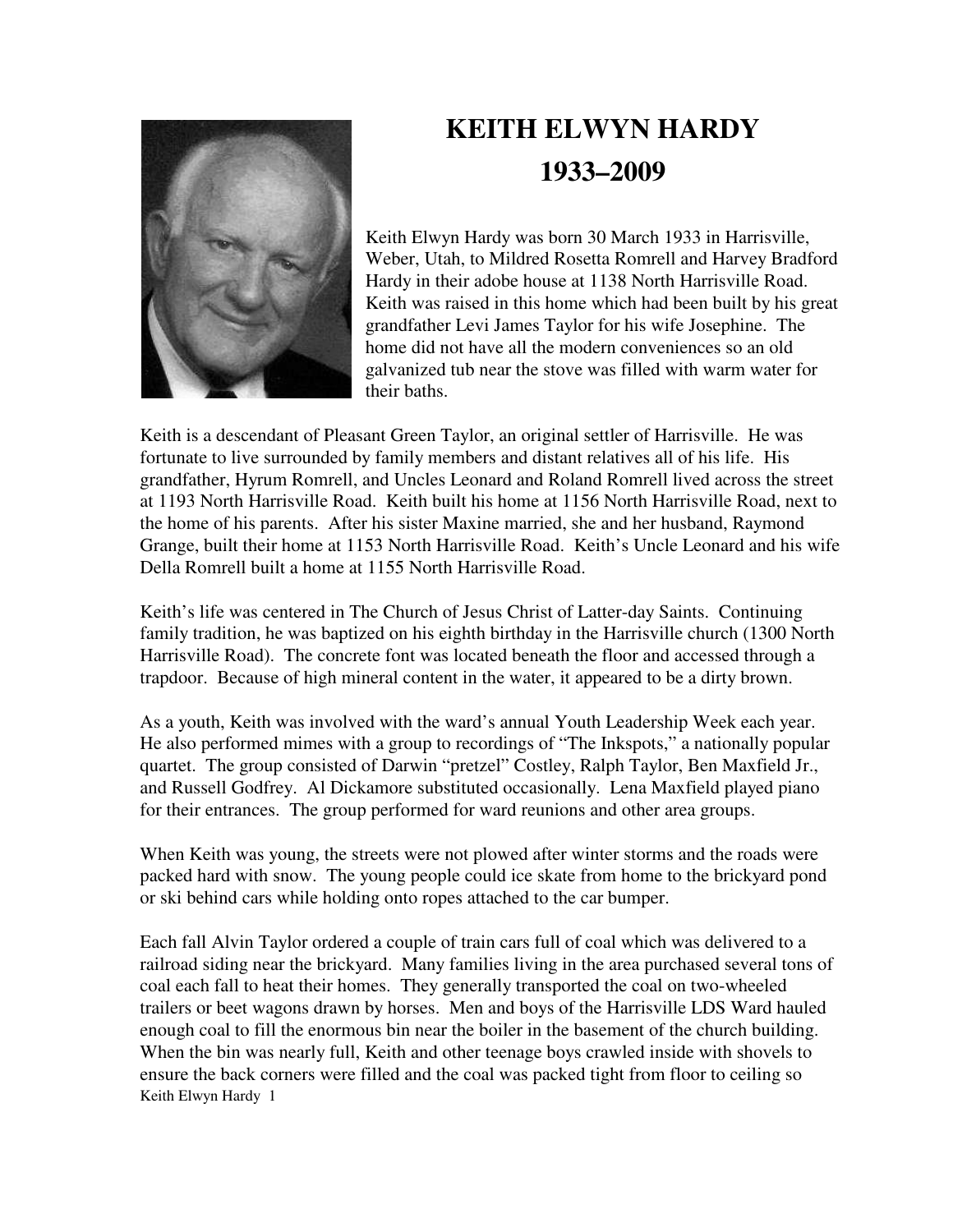

## **KEITH ELWYN HARDY 1933–2009**

Keith Elwyn Hardy was born 30 March 1933 in Harrisville, Weber, Utah, to Mildred Rosetta Romrell and Harvey Bradford Hardy in their adobe house at 1138 North Harrisville Road. Keith was raised in this home which had been built by his great grandfather Levi James Taylor for his wife Josephine. The home did not have all the modern conveniences so an old galvanized tub near the stove was filled with warm water for their baths.

Keith is a descendant of Pleasant Green Taylor, an original settler of Harrisville. He was fortunate to live surrounded by family members and distant relatives all of his life. His grandfather, Hyrum Romrell, and Uncles Leonard and Roland Romrell lived across the street at 1193 North Harrisville Road. Keith built his home at 1156 North Harrisville Road, next to the home of his parents. After his sister Maxine married, she and her husband, Raymond Grange, built their home at 1153 North Harrisville Road. Keith's Uncle Leonard and his wife Della Romrell built a home at 1155 North Harrisville Road.

Keith's life was centered in The Church of Jesus Christ of Latter-day Saints. Continuing family tradition, he was baptized on his eighth birthday in the Harrisville church (1300 North Harrisville Road). The concrete font was located beneath the floor and accessed through a trapdoor. Because of high mineral content in the water, it appeared to be a dirty brown.

As a youth, Keith was involved with the ward's annual Youth Leadership Week each year. He also performed mimes with a group to recordings of "The Inkspots," a nationally popular quartet. The group consisted of Darwin "pretzel" Costley, Ralph Taylor, Ben Maxfield Jr., and Russell Godfrey. Al Dickamore substituted occasionally. Lena Maxfield played piano for their entrances. The group performed for ward reunions and other area groups.

When Keith was young, the streets were not plowed after winter storms and the roads were packed hard with snow. The young people could ice skate from home to the brickyard pond or ski behind cars while holding onto ropes attached to the car bumper.

Keith Elwyn Hardy 1 Each fall Alvin Taylor ordered a couple of train cars full of coal which was delivered to a railroad siding near the brickyard. Many families living in the area purchased several tons of coal each fall to heat their homes. They generally transported the coal on two-wheeled trailers or beet wagons drawn by horses. Men and boys of the Harrisville LDS Ward hauled enough coal to fill the enormous bin near the boiler in the basement of the church building. When the bin was nearly full, Keith and other teenage boys crawled inside with shovels to ensure the back corners were filled and the coal was packed tight from floor to ceiling so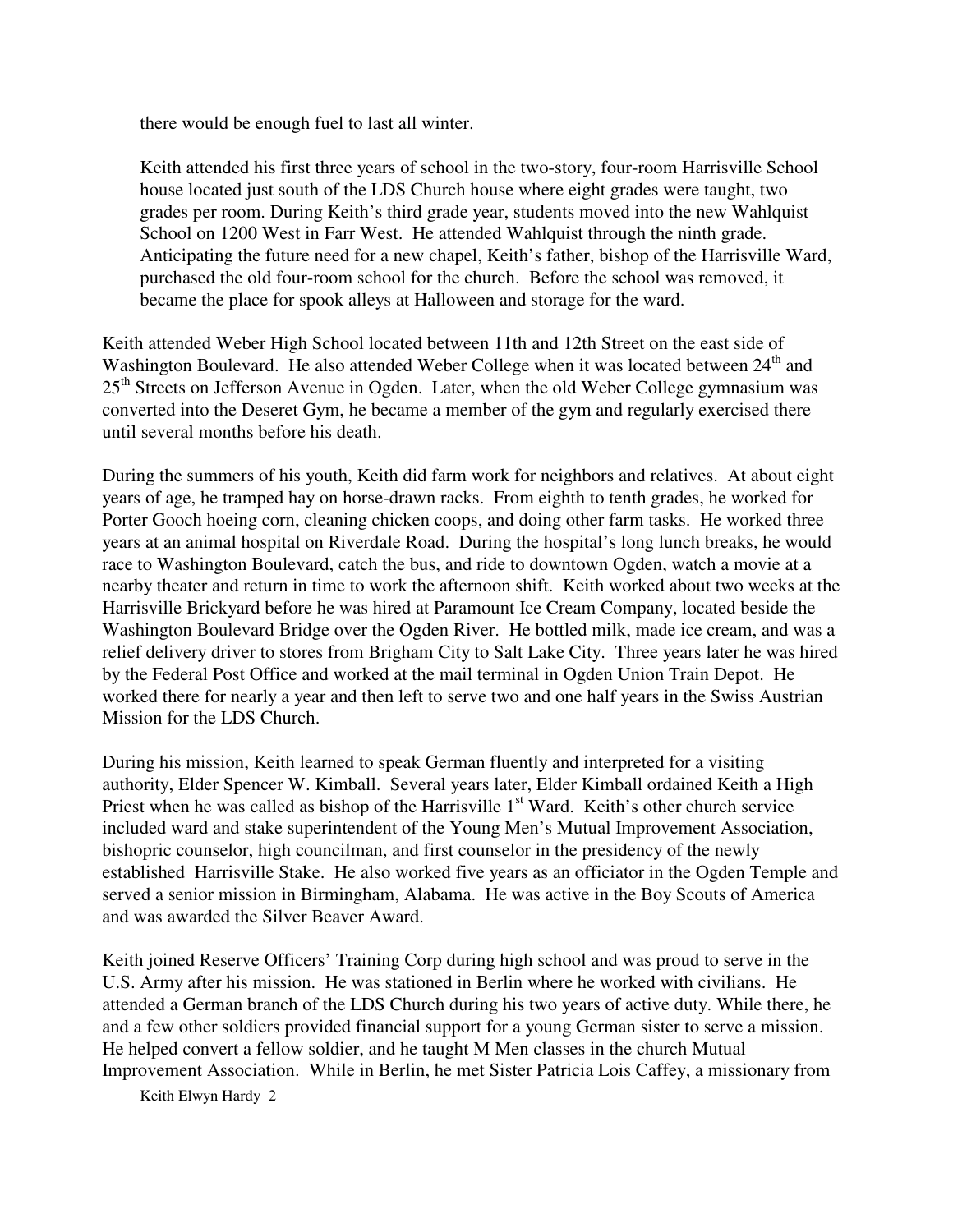there would be enough fuel to last all winter.

Keith attended his first three years of school in the two-story, four-room Harrisville School house located just south of the LDS Church house where eight grades were taught, two grades per room. During Keith's third grade year, students moved into the new Wahlquist School on 1200 West in Farr West. He attended Wahlquist through the ninth grade. Anticipating the future need for a new chapel, Keith's father, bishop of the Harrisville Ward, purchased the old four-room school for the church. Before the school was removed, it became the place for spook alleys at Halloween and storage for the ward.

Keith attended Weber High School located between 11th and 12th Street on the east side of Washington Boulevard. He also attended Weber College when it was located between 24<sup>th</sup> and 25<sup>th</sup> Streets on Jefferson Avenue in Ogden. Later, when the old Weber College gymnasium was converted into the Deseret Gym, he became a member of the gym and regularly exercised there until several months before his death.

During the summers of his youth, Keith did farm work for neighbors and relatives. At about eight years of age, he tramped hay on horse-drawn racks. From eighth to tenth grades, he worked for Porter Gooch hoeing corn, cleaning chicken coops, and doing other farm tasks. He worked three years at an animal hospital on Riverdale Road. During the hospital's long lunch breaks, he would race to Washington Boulevard, catch the bus, and ride to downtown Ogden, watch a movie at a nearby theater and return in time to work the afternoon shift. Keith worked about two weeks at the Harrisville Brickyard before he was hired at Paramount Ice Cream Company, located beside the Washington Boulevard Bridge over the Ogden River. He bottled milk, made ice cream, and was a relief delivery driver to stores from Brigham City to Salt Lake City. Three years later he was hired by the Federal Post Office and worked at the mail terminal in Ogden Union Train Depot. He worked there for nearly a year and then left to serve two and one half years in the Swiss Austrian Mission for the LDS Church.

During his mission, Keith learned to speak German fluently and interpreted for a visiting authority, Elder Spencer W. Kimball. Several years later, Elder Kimball ordained Keith a High Priest when he was called as bishop of the Harrisville  $1<sup>st</sup>$  Ward. Keith's other church service included ward and stake superintendent of the Young Men's Mutual Improvement Association, bishopric counselor, high councilman, and first counselor in the presidency of the newly established Harrisville Stake. He also worked five years as an officiator in the Ogden Temple and served a senior mission in Birmingham, Alabama. He was active in the Boy Scouts of America and was awarded the Silver Beaver Award.

Keith joined Reserve Officers' Training Corp during high school and was proud to serve in the U.S. Army after his mission. He was stationed in Berlin where he worked with civilians. He attended a German branch of the LDS Church during his two years of active duty. While there, he and a few other soldiers provided financial support for a young German sister to serve a mission. He helped convert a fellow soldier, and he taught M Men classes in the church Mutual Improvement Association. While in Berlin, he met Sister Patricia Lois Caffey, a missionary from

Keith Elwyn Hardy 2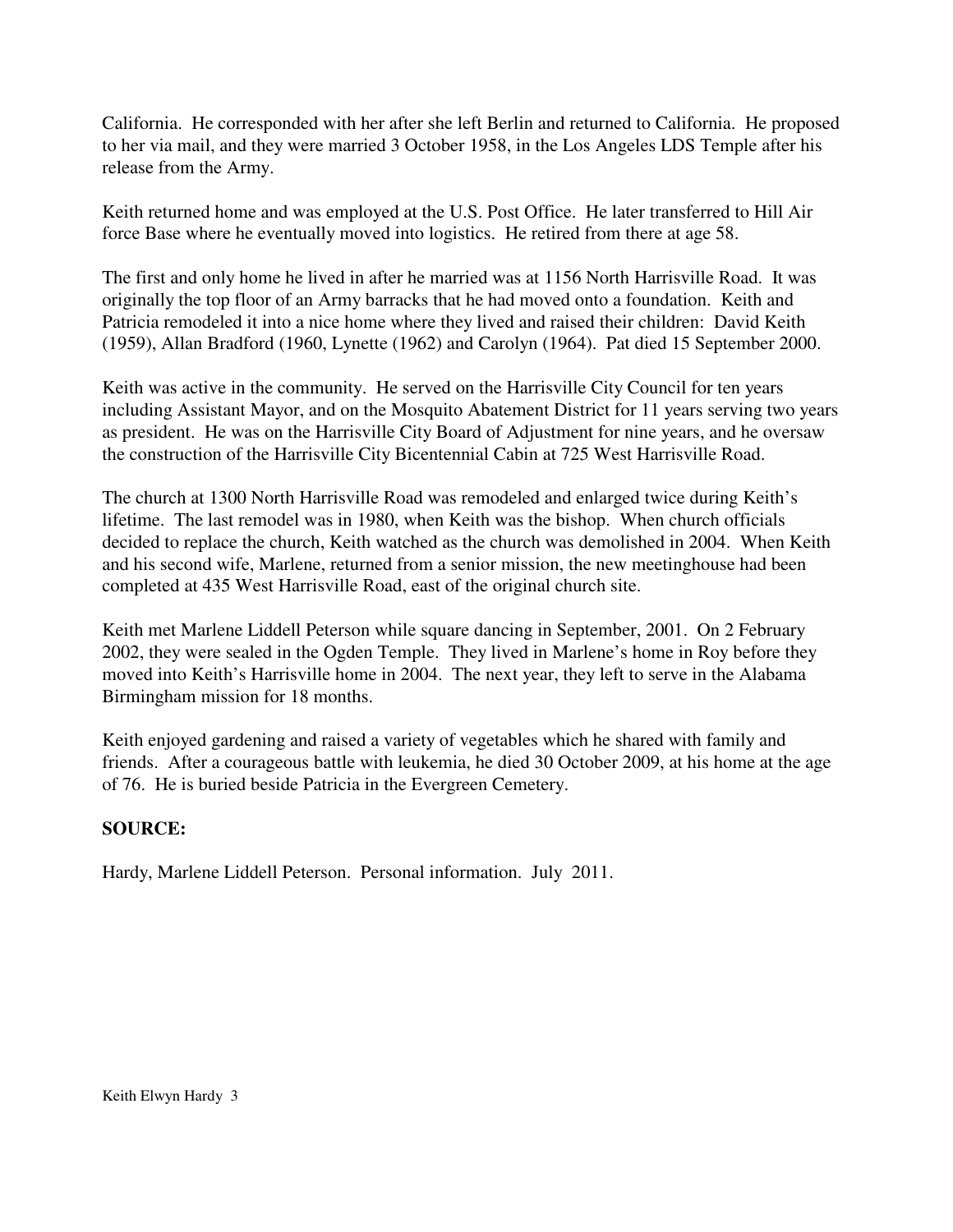California. He corresponded with her after she left Berlin and returned to California. He proposed to her via mail, and they were married 3 October 1958, in the Los Angeles LDS Temple after his release from the Army.

Keith returned home and was employed at the U.S. Post Office. He later transferred to Hill Air force Base where he eventually moved into logistics. He retired from there at age 58.

The first and only home he lived in after he married was at 1156 North Harrisville Road. It was originally the top floor of an Army barracks that he had moved onto a foundation. Keith and Patricia remodeled it into a nice home where they lived and raised their children: David Keith (1959), Allan Bradford (1960, Lynette (1962) and Carolyn (1964). Pat died 15 September 2000.

Keith was active in the community. He served on the Harrisville City Council for ten years including Assistant Mayor, and on the Mosquito Abatement District for 11 years serving two years as president. He was on the Harrisville City Board of Adjustment for nine years, and he oversaw the construction of the Harrisville City Bicentennial Cabin at 725 West Harrisville Road.

The church at 1300 North Harrisville Road was remodeled and enlarged twice during Keith's lifetime. The last remodel was in 1980, when Keith was the bishop. When church officials decided to replace the church, Keith watched as the church was demolished in 2004. When Keith and his second wife, Marlene, returned from a senior mission, the new meetinghouse had been completed at 435 West Harrisville Road, east of the original church site.

Keith met Marlene Liddell Peterson while square dancing in September, 2001. On 2 February 2002, they were sealed in the Ogden Temple. They lived in Marlene's home in Roy before they moved into Keith's Harrisville home in 2004. The next year, they left to serve in the Alabama Birmingham mission for 18 months.

Keith enjoyed gardening and raised a variety of vegetables which he shared with family and friends. After a courageous battle with leukemia, he died 30 October 2009, at his home at the age of 76. He is buried beside Patricia in the Evergreen Cemetery.

## **SOURCE:**

Hardy, Marlene Liddell Peterson. Personal information. July 2011.